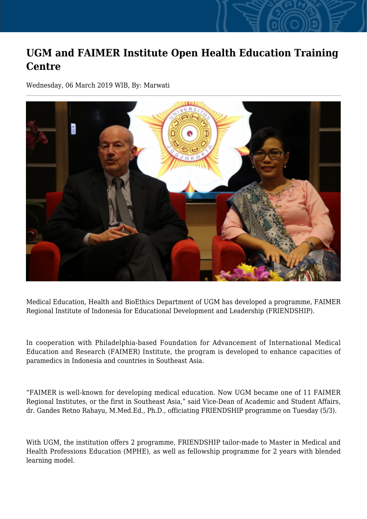## **UGM and FAIMER Institute Open Health Education Training Centre**

Wednesday, 06 March 2019 WIB, By: Marwati



Medical Education, Health and BioEthics Department of UGM has developed a programme, FAIMER Regional Institute of Indonesia for Educational Development and Leadership (FRIENDSHIP).

In cooperation with Philadelphia-based Foundation for Advancement of International Medical Education and Research (FAIMER) Institute, the program is developed to enhance capacities of paramedics in Indonesia and countries in Southeast Asia.

"FAIMER is well-known for developing medical education. Now UGM became one of 11 FAIMER Regional Institutes, or the first in Southeast Asia," said Vice-Dean of Academic and Student Affairs, dr. Gandes Retno Rahayu, M.Med.Ed., Ph.D., officiating FRIENDSHIP programme on Tuesday (5/3).

With UGM, the institution offers 2 programme, FRIENDSHIP tailor-made to Master in Medical and Health Professions Education (MPHE), as well as fellowship programme for 2 years with blended learning model.